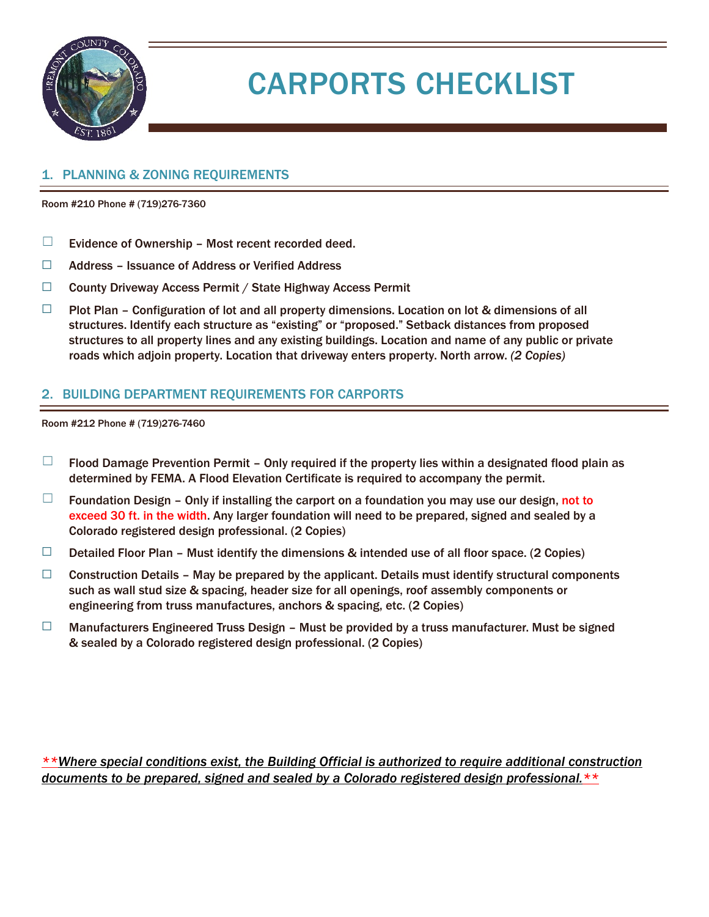

# CARPORTS CHECKLIST

#### 1. PLANNING & ZONING REQUIREMENTS

Room #210 Phone # (719)276-7360

- $\Box$  Evidence of Ownership Most recent recorded deed.
- ☐ Address Issuance of Address or Verified Address
- ☐ County Driveway Access Permit / State Highway Access Permit
- $\Box$  Plot Plan Configuration of lot and all property dimensions. Location on lot & dimensions of all structures. Identify each structure as "existing" or "proposed." Setback distances from proposed structures to all property lines and any existing buildings. Location and name of any public or private roads which adjoin property. Location that driveway enters property. North arrow. *(2 Copies)*

#### 2. BUILDING DEPARTMENT REQUIREMENTS FOR CARPORTS

Room #212 Phone # (719)276-7460

- $\Box$  Flood Damage Prevention Permit Only required if the property lies within a designated flood plain as determined by FEMA. A Flood Elevation Certificate is required to accompany the permit.
- $\Box$  Foundation Design Only if installing the carport on a foundation you may use our design, not to exceed 30 ft. in the width. Any larger foundation will need to be prepared, signed and sealed by a Colorado registered design professional. (2 Copies)
- $\Box$  Detailed Floor Plan Must identify the dimensions & intended use of all floor space. (2 Copies)
- $\Box$  Construction Details May be prepared by the applicant. Details must identify structural components such as wall stud size & spacing, header size for all openings, roof assembly components or engineering from truss manufactures, anchors & spacing, etc. (2 Copies)
- □ Manufacturers Engineered Truss Design Must be provided by a truss manufacturer. Must be signed & sealed by a Colorado registered design professional. (2 Copies)

*\*\*Where special conditions exist, the Building Official is authorized to require additional construction documents to be prepared, signed and sealed by a Colorado registered design professional.\*\**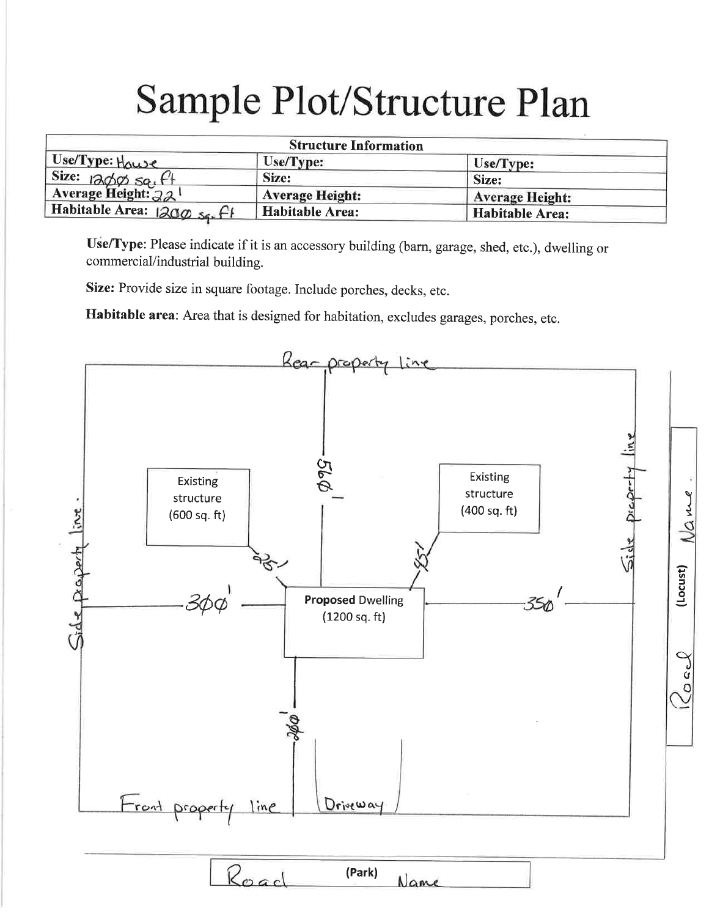# Sample Plot/Structure Plan

| <b>Structure Information</b>                  |                        |                        |
|-----------------------------------------------|------------------------|------------------------|
| Use/Type: Howe                                | Use/Type:              | Use/Type:              |
|                                               | Size:                  | Size:                  |
| Size: $1200$ sq. $61$<br>Average Height: $22$ | <b>Average Height:</b> | <b>Average Height:</b> |
| Habitable Area: $200 s_5$ , $f$               | <b>Habitable Area:</b> | <b>Habitable Area:</b> |

Use/Type: Please indicate if it is an accessory building (barn, garage, shed, etc.), dwelling or commercial/industrial building.

Size: Provide size in square footage. Include porches, decks, etc.

Habitable area: Area that is designed for habitation, excludes garages, porches, etc.

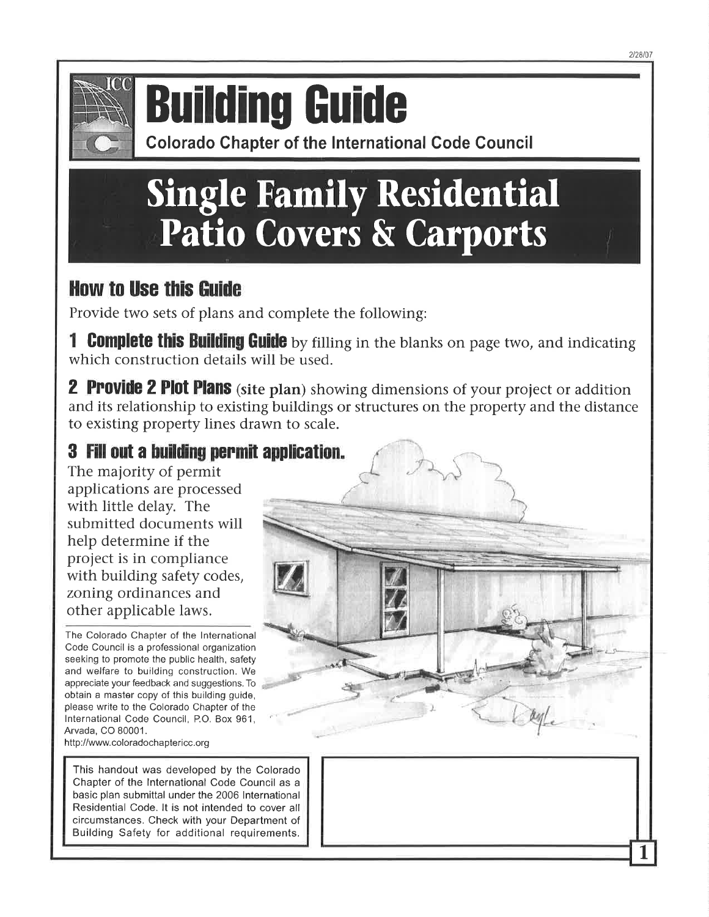

# **Building Guide**

**Colorado Chapter of the International Code Council** 

# **Single Family Residential** Patio Covers & Carports

## **How to Use this Guide**

Provide two sets of plans and complete the following:

**Complete this Building Guide** by filling in the blanks on page two, and indicating which construction details will be used.

**2 Provide 2 Plot Plans** (site plan) showing dimensions of your project or addition and its relationship to existing buildings or structures on the property and the distance to existing property lines drawn to scale.

## 3 Fill out a building permit application.

The majority of permit applications are processed with little delay. The submitted documents will help determine if the project is in compliance with building safety codes, zoning ordinances and other applicable laws.

The Colorado Chapter of the International Code Council is a professional organization seeking to promote the public health, safety and welfare to building construction. We appreciate your feedback and suggestions. To obtain a master copy of this building guide, please write to the Colorado Chapter of the International Code Council, P.O. Box 961, Arvada, CO 80001.

http://www.coloradochaptericc.org

This handout was developed by the Colorado Chapter of the International Code Council as a basic plan submittal under the 2006 International Residential Code. It is not intended to cover all circumstances. Check with your Department of Building Safety for additional requirements.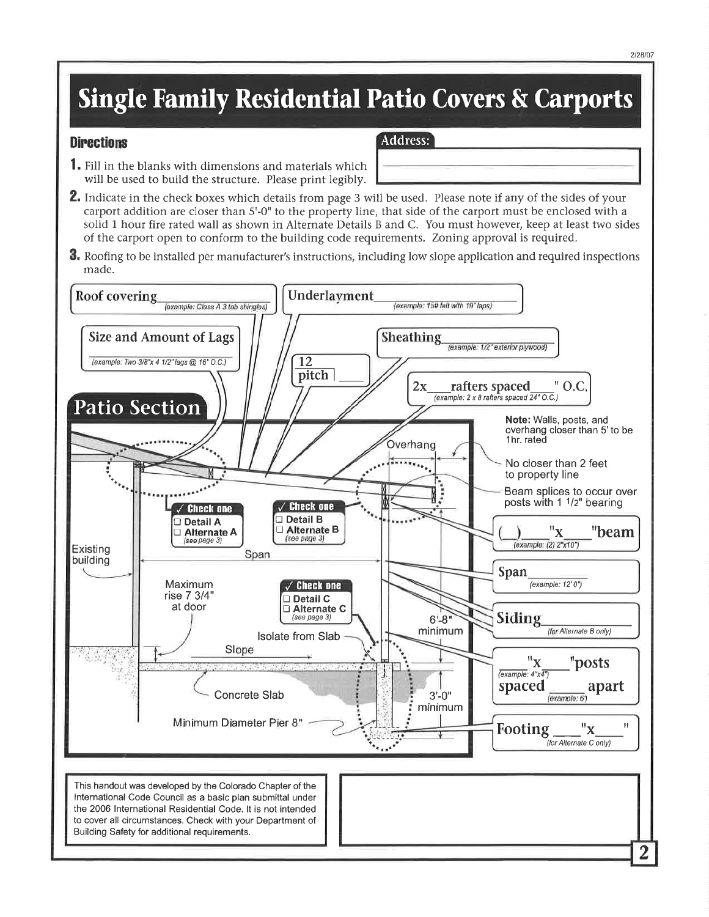## **Single Family Residential Patio Covers & Carports**

**Address:** 

#### **Directions**

- 1. Fill in the blanks with dimensions and materials which will be used to build the structure. Please print legibly.
- 2. Indicate in the check boxes which details from page 3 will be used. Please note if any of the sides of your carport addition are closer than 5'-0" to the property line, that side of the carport must be enclosed with a solid 1 hour fire rated wall as shown in Alternate Details B and C. You must however, keep at least two sides of the carport open to conform to the building code requirements. Zoning approval is required.
- **3.** Roofing to be installed per manufacturer's instructions, including low slope application and required inspections made.